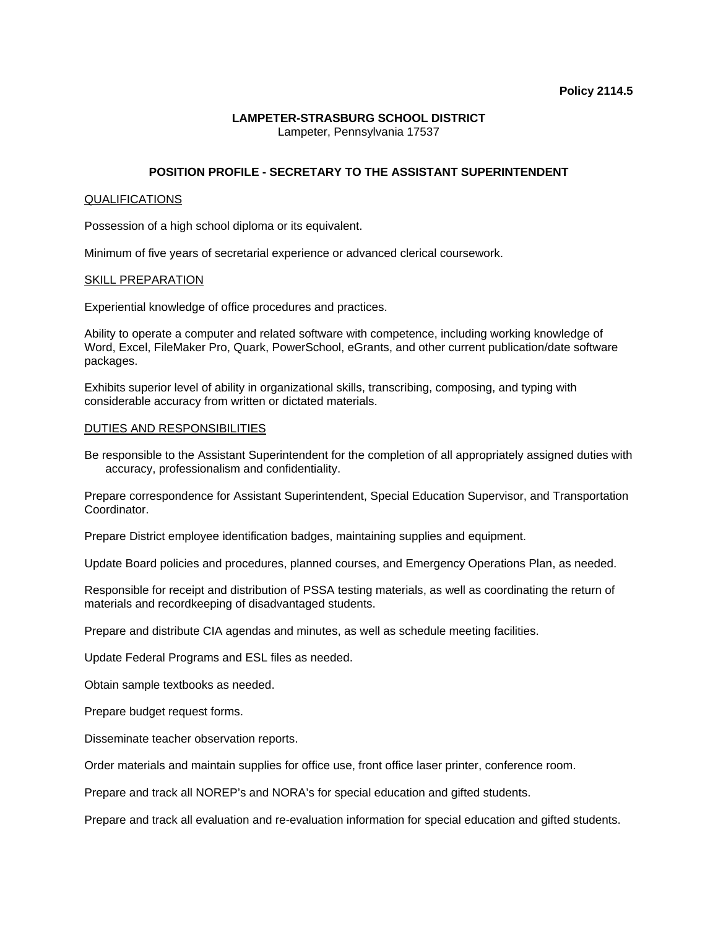# **LAMPETER-STRASBURG SCHOOL DISTRICT**

Lampeter, Pennsylvania 17537

# **POSITION PROFILE - SECRETARY TO THE ASSISTANT SUPERINTENDENT**

#### QUALIFICATIONS

Possession of a high school diploma or its equivalent.

Minimum of five years of secretarial experience or advanced clerical coursework.

## SKILL PREPARATION

Experiential knowledge of office procedures and practices.

Ability to operate a computer and related software with competence, including working knowledge of Word, Excel, FileMaker Pro, Quark, PowerSchool, eGrants, and other current publication/date software packages.

Exhibits superior level of ability in organizational skills, transcribing, composing, and typing with considerable accuracy from written or dictated materials.

## DUTIES AND RESPONSIBILITIES

Be responsible to the Assistant Superintendent for the completion of all appropriately assigned duties with accuracy, professionalism and confidentiality.

Prepare correspondence for Assistant Superintendent, Special Education Supervisor, and Transportation Coordinator.

Prepare District employee identification badges, maintaining supplies and equipment.

Update Board policies and procedures, planned courses, and Emergency Operations Plan, as needed.

Responsible for receipt and distribution of PSSA testing materials, as well as coordinating the return of materials and recordkeeping of disadvantaged students.

Prepare and distribute CIA agendas and minutes, as well as schedule meeting facilities.

Update Federal Programs and ESL files as needed.

Obtain sample textbooks as needed.

Prepare budget request forms.

Disseminate teacher observation reports.

Order materials and maintain supplies for office use, front office laser printer, conference room.

Prepare and track all NOREP's and NORA's for special education and gifted students.

Prepare and track all evaluation and re-evaluation information for special education and gifted students.